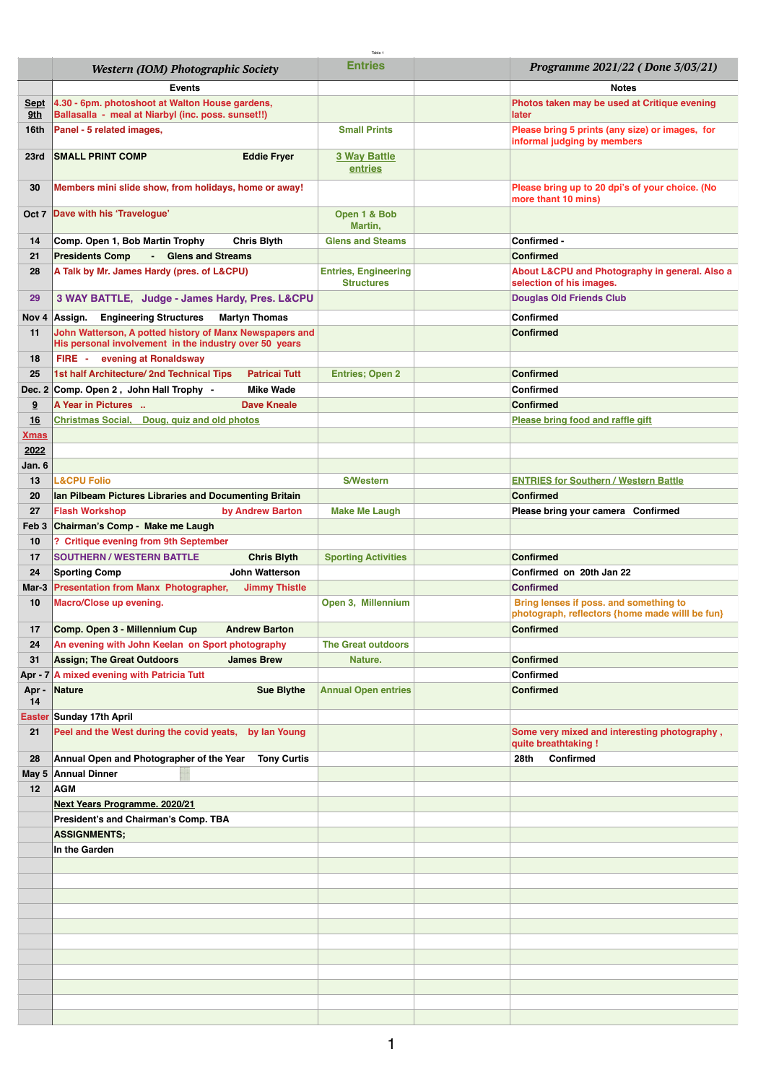|                    | Western (IOM) Photographic Society                                                                                | Table<br><b>Entries</b>                          | Programme 2021/22 (Done 3/03/21)                                                          |
|--------------------|-------------------------------------------------------------------------------------------------------------------|--------------------------------------------------|-------------------------------------------------------------------------------------------|
|                    | <b>Events</b>                                                                                                     |                                                  | <b>Notes</b>                                                                              |
| <u>Sept</u><br>9th | 4.30 - 6pm. photoshoot at Walton House gardens,<br>Ballasalla - meal at Niarbyl (inc. poss. sunset!!)             |                                                  | Photos taken may be used at Critique evening<br>later                                     |
| 16th               | Panel - 5 related images,                                                                                         | <b>Small Prints</b>                              | Please bring 5 prints (any size) or images, for                                           |
| 23rd               | <b>SMALL PRINT COMP</b><br><b>Eddie Fryer</b>                                                                     | 3 Way Battle<br>entries                          | informal judging by members                                                               |
| 30                 | Members mini slide show, from holidays, home or away!                                                             |                                                  | Please bring up to 20 dpi's of your choice. (No                                           |
| Oct 7              | Dave with his 'Travelogue'                                                                                        | Open 1 & Bob                                     | more thant 10 mins)                                                                       |
|                    |                                                                                                                   | Martin,<br><b>Glens and Steams</b>               |                                                                                           |
| 14<br>21           | Comp. Open 1, Bob Martin Trophy<br>Chris Blyth<br><b>Presidents Comp</b><br><b>Glens and Streams</b><br>- 1       |                                                  | Confirmed -<br><b>Confirmed</b>                                                           |
| 28                 | A Talk by Mr. James Hardy (pres. of L&CPU)                                                                        | <b>Entries, Engineering</b><br><b>Structures</b> | About L&CPU and Photography in general. Also a<br>selection of his images.                |
| 29                 | 3 WAY BATTLE, Judge - James Hardy, Pres. L&CPU                                                                    |                                                  | <b>Douglas Old Friends Club</b>                                                           |
| Nov 4              | <b>Engineering Structures</b><br>Assign.<br><b>Martyn Thomas</b>                                                  |                                                  | Confirmed                                                                                 |
| 11                 | John Watterson, A potted history of Manx Newspapers and<br>His personal involvement in the industry over 50 years |                                                  | <b>Confirmed</b>                                                                          |
| 18                 | FIRE - evening at Ronaldsway                                                                                      |                                                  |                                                                                           |
| 25                 | 1st half Architecture/ 2nd Technical Tips<br><b>Patrical Tutt</b>                                                 | <b>Entries; Open 2</b>                           | Confirmed                                                                                 |
| Dec. 2             | Comp. Open 2, John Hall Trophy -<br><b>Mike Wade</b>                                                              |                                                  | Confirmed                                                                                 |
| 9                  | A Year in Pictures<br><b>Dave Kneale</b>                                                                          |                                                  | Confirmed                                                                                 |
| 16                 | <b>Christmas Social, Doug, quiz and old photos</b>                                                                |                                                  | <u>Please bring food and raffle gift</u>                                                  |
| <u>Xmas</u>        |                                                                                                                   |                                                  |                                                                                           |
| 2022               |                                                                                                                   |                                                  |                                                                                           |
| Jan. 6             | <b>L&amp;CPU Folio</b>                                                                                            | <b>S/Western</b>                                 |                                                                                           |
| 13<br>20           | Ian Pilbeam Pictures Libraries and Documenting Britain                                                            |                                                  | <b>ENTRIES for Southern / Western Battle</b><br><b>Confirmed</b>                          |
| 27                 | <b>Flash Workshop</b><br>by Andrew Barton                                                                         | <b>Make Me Laugh</b>                             | Please bring your camera Confirmed                                                        |
| Feb 3              | Chairman's Comp - Make me Laugh                                                                                   |                                                  |                                                                                           |
| 10                 | ? Critique evening from 9th September                                                                             |                                                  |                                                                                           |
| 17                 | <b>SOUTHERN / WESTERN BATTLE</b><br><b>Chris Blyth</b>                                                            | <b>Sporting Activities</b>                       | <b>Confirmed</b>                                                                          |
| 24                 | <b>Sporting Comp</b><br><b>John Watterson</b>                                                                     |                                                  | Confirmed on 20th Jan 22                                                                  |
| Mar-3              | <b>Presentation from Manx Photographer,</b><br><b>Jimmy Thistle</b>                                               |                                                  | <b>Confirmed</b>                                                                          |
| 10                 | Macro/Close up evening.                                                                                           | Open 3, Millennium                               | Bring lenses if poss, and something to<br>photograph, reflectors {home made willl be fun} |
| 17 <sub>1</sub>    | Comp. Open 3 - Millennium Cup<br><b>Andrew Barton</b>                                                             |                                                  | Confirmed                                                                                 |
| 24                 | An evening with John Keelan on Sport photography                                                                  | <b>The Great outdoors</b>                        |                                                                                           |
| 31                 | <b>Assign; The Great Outdoors</b><br><b>James Brew</b>                                                            | Nature.                                          | Confirmed                                                                                 |
|                    | Apr - 7 A mixed evening with Patricia Tutt                                                                        |                                                  | Confirmed                                                                                 |
| Apr -<br>14        | <b>Sue Blythe</b><br>Nature                                                                                       | <b>Annual Open entries</b>                       | <b>Confirmed</b>                                                                          |
|                    | Easter Sunday 17th April                                                                                          |                                                  |                                                                                           |
| 21                 | Peel and the West during the covid yeats, by lan Young                                                            |                                                  | Some very mixed and interesting photography,<br>quite breathtaking !                      |
| 28                 | Annual Open and Photographer of the Year<br><b>Tony Curtis</b>                                                    |                                                  | 28th<br>Confirmed                                                                         |
| May 5              | <b>Annual Dinner</b>                                                                                              |                                                  |                                                                                           |
| 12                 | <b>AGM</b>                                                                                                        |                                                  |                                                                                           |
|                    | <b>Next Years Programme. 2020/21</b>                                                                              |                                                  |                                                                                           |
|                    | President's and Chairman's Comp. TBA<br><b>ASSIGNMENTS;</b>                                                       |                                                  |                                                                                           |
|                    | In the Garden                                                                                                     |                                                  |                                                                                           |
|                    |                                                                                                                   |                                                  |                                                                                           |
|                    |                                                                                                                   |                                                  |                                                                                           |
|                    |                                                                                                                   |                                                  |                                                                                           |
|                    |                                                                                                                   |                                                  |                                                                                           |
|                    |                                                                                                                   |                                                  |                                                                                           |
|                    |                                                                                                                   |                                                  |                                                                                           |
|                    |                                                                                                                   |                                                  |                                                                                           |
|                    |                                                                                                                   |                                                  |                                                                                           |
|                    |                                                                                                                   |                                                  |                                                                                           |
|                    |                                                                                                                   |                                                  |                                                                                           |
|                    |                                                                                                                   |                                                  |                                                                                           |